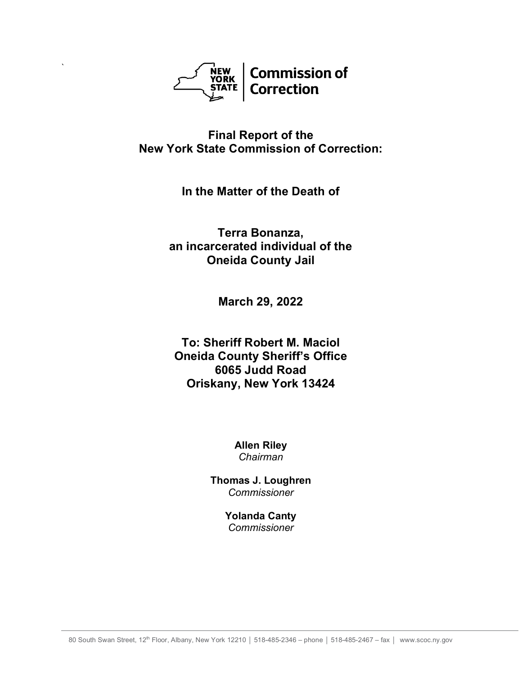

`

# **Final Report of the New York State Commission of Correction:**

**In the Matter of the Death of**

**Terra Bonanza, an incarcerated individual of the Oneida County Jail**

**March 29, 2022**

**To: Sheriff Robert M. Maciol Oneida County Sheriff's Office 6065 Judd Road Oriskany, New York 13424**

> **Allen Riley** *Chairman*

**Thomas J. Loughren** *Commissioner*

> **Yolanda Canty** *Commissioner*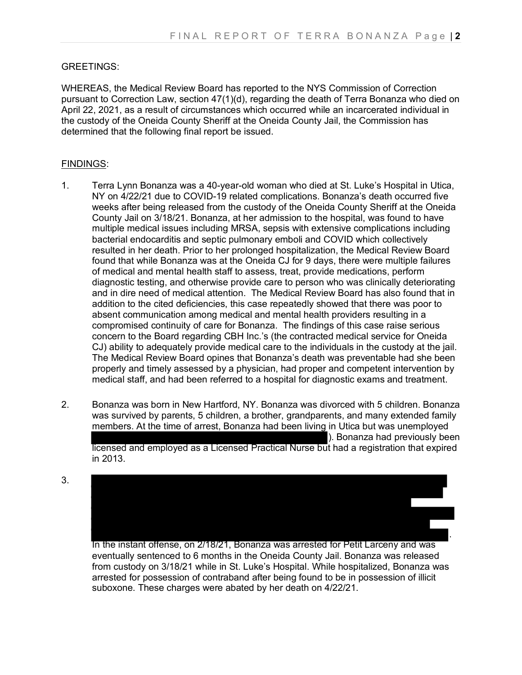#### GREETINGS:

WHEREAS, the Medical Review Board has reported to the NYS Commission of Correction pursuant to Correction Law, section 47(1)(d), regarding the death of Terra Bonanza who died on April 22, 2021, as a result of circumstances which occurred while an incarcerated individual in the custody of the Oneida County Sheriff at the Oneida County Jail, the Commission has determined that the following final report be issued.

#### FINDINGS:

- 1. Terra Lynn Bonanza was a 40-year-old woman who died at St. Luke's Hospital in Utica, NY on 4/22/21 due to COVID-19 related complications. Bonanza's death occurred five weeks after being released from the custody of the Oneida County Sheriff at the Oneida County Jail on 3/18/21. Bonanza, at her admission to the hospital, was found to have multiple medical issues including MRSA, sepsis with extensive complications including bacterial endocarditis and septic pulmonary emboli and COVID which collectively resulted in her death. Prior to her prolonged hospitalization, the Medical Review Board found that while Bonanza was at the Oneida CJ for 9 days, there were multiple failures of medical and mental health staff to assess, treat, provide medications, perform diagnostic testing, and otherwise provide care to person who was clinically deteriorating and in dire need of medical attention. The Medical Review Board has also found that in addition to the cited deficiencies, this case repeatedly showed that there was poor to absent communication among medical and mental health providers resulting in a compromised continuity of care for Bonanza. The findings of this case raise serious concern to the Board regarding CBH Inc.'s (the contracted medical service for Oneida CJ) ability to adequately provide medical care to the individuals in the custody at the jail. The Medical Review Board opines that Bonanza's death was preventable had she been properly and timely assessed by a physician, had proper and competent intervention by medical staff, and had been referred to a hospital for diagnostic exams and treatment.
- 2. Bonanza was born in New Hartford, NY. Bonanza was divorced with 5 children. Bonanza was survived by parents, 5 children, a brother, grandparents, and many extended family members. At the time of arrest, Bonanza had been living in Utica but was unemployed ). Bonanza had previously been licensed and employed as a Licensed Practical Nurse but had a registration that expired in 2013.
- 3.

. In the instant offense, on 2/18/21, Bonanza was arrested for Petit Larceny and was

eventually sentenced to 6 months in the Oneida County Jail. Bonanza was released from custody on 3/18/21 while in St. Luke's Hospital. While hospitalized, Bonanza was arrested for possession of contraband after being found to be in possession of illicit suboxone. These charges were abated by her death on 4/22/21.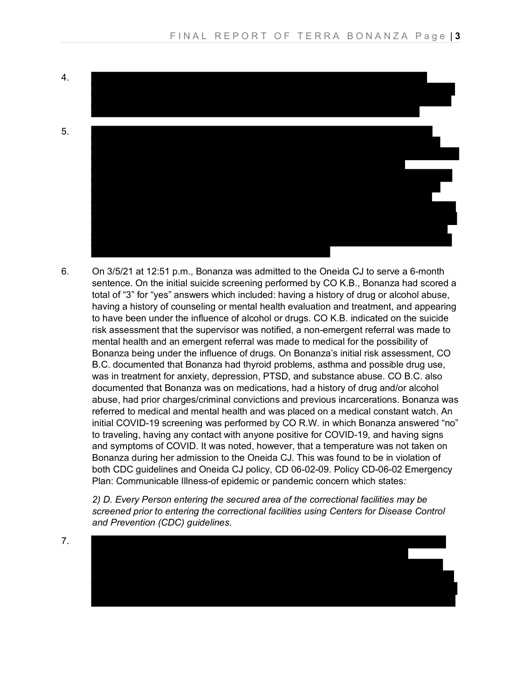

6. On 3/5/21 at 12:51 p.m., Bonanza was admitted to the Oneida CJ to serve a 6-month sentence. On the initial suicide screening performed by CO K.B., Bonanza had scored a total of "3" for "yes" answers which included: having a history of drug or alcohol abuse, having a history of counseling or mental health evaluation and treatment, and appearing to have been under the influence of alcohol or drugs. CO K.B. indicated on the suicide risk assessment that the supervisor was notified, a non-emergent referral was made to mental health and an emergent referral was made to medical for the possibility of Bonanza being under the influence of drugs. On Bonanza's initial risk assessment, CO B.C. documented that Bonanza had thyroid problems, asthma and possible drug use, was in treatment for anxiety, depression, PTSD, and substance abuse. CO B.C. also documented that Bonanza was on medications, had a history of drug and/or alcohol abuse, had prior charges/criminal convictions and previous incarcerations. Bonanza was referred to medical and mental health and was placed on a medical constant watch. An initial COVID-19 screening was performed by CO R.W. in which Bonanza answered "no" to traveling, having any contact with anyone positive for COVID-19, and having signs and symptoms of COVID. It was noted, however, that a temperature was not taken on Bonanza during her admission to the Oneida CJ. This was found to be in violation of both CDC guidelines and Oneida CJ policy, CD 06-02-09*.* Policy CD-06-02 Emergency Plan: Communicable Illness-of epidemic or pandemic concern which states*:* 

*2) D. Every Person entering the secured area of the correctional facilities may be screened prior to entering the correctional facilities using Centers for Disease Control and Prevention (CDC) guidelines.*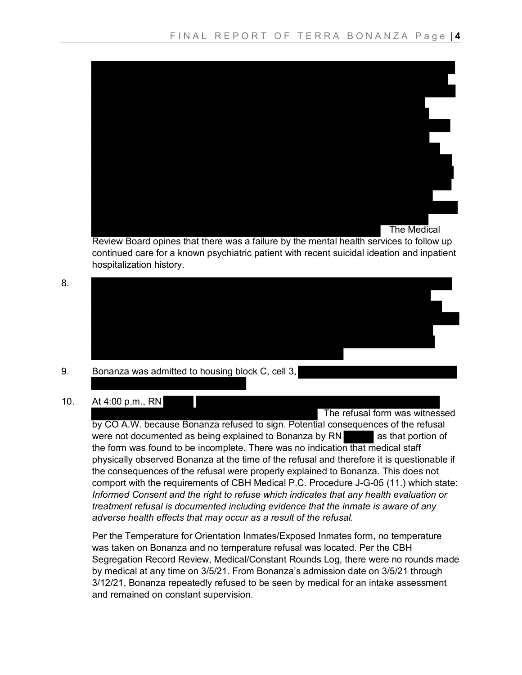

Review Board opines that there was a failure by the mental health services to follow up continued care for a known psychiatric patient with recent suicidal ideation and inpatient hospitalization history.



# 9. Bonanza was admitted to housing block C, cell 3,

# 10. At 4:00 p.m., RN

 The refusal form was witnessed by CO A.W. because Bonanza refused to sign. Potential consequences of the refusal were not documented as being explained to Bonanza by  $RN$  as that portion of the form was found to be incomplete. There was no indication that medical staff physically observed Bonanza at the time of the refusal and therefore it is questionable if the consequences of the refusal were properly explained to Bonanza. This does not comport with the requirements of CBH Medical P.C. Procedure J-G-05 (11.) which state: *Informed Consent and the right to refuse which indicates that any health evaluation or treatment refusal is documented including evidence that the inmate is aware of any adverse health effects that may occur as a result of the refusal.*

Per the Temperature for Orientation Inmates/Exposed Inmates form, no temperature was taken on Bonanza and no temperature refusal was located. Per the CBH Segregation Record Review, Medical/Constant Rounds Log, there were no rounds made by medical at any time on 3/5/21. From Bonanza's admission date on 3/5/21 through 3/12/21, Bonanza repeatedly refused to be seen by medical for an intake assessment and remained on constant supervision.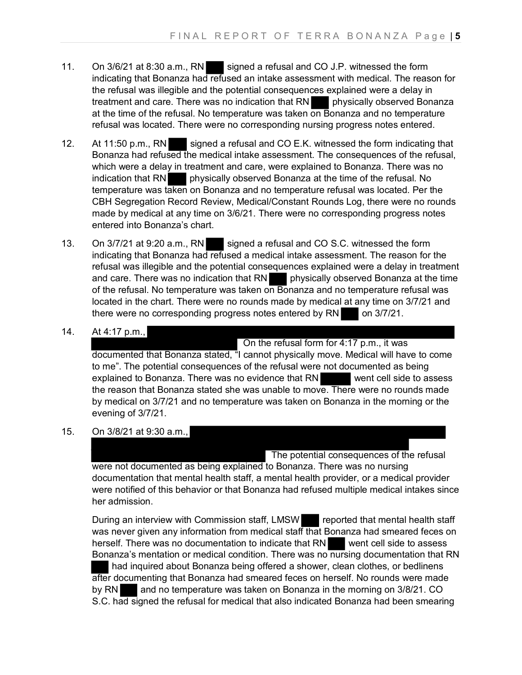- 11. On 3/6/21 at 8:30 a.m., RN signed a refusal and CO J.P. witnessed the form indicating that Bonanza had refused an intake assessment with medical. The reason for the refusal was illegible and the potential consequences explained were a delay in treatment and care. There was no indication that RN physically observed Bonanza at the time of the refusal. No temperature was taken on Bonanza and no temperature refusal was located. There were no corresponding nursing progress notes entered.
- 12. At 11:50 p.m., RN signed a refusal and CO E.K. witnessed the form indicating that Bonanza had refused the medical intake assessment. The consequences of the refusal, which were a delay in treatment and care, were explained to Bonanza. There was no indication that RN physically observed Bonanza at the time of the refusal. No temperature was taken on Bonanza and no temperature refusal was located. Per the CBH Segregation Record Review, Medical/Constant Rounds Log, there were no rounds made by medical at any time on 3/6/21. There were no corresponding progress notes entered into Bonanza's chart.
- 13. On 3/7/21 at 9:20 a.m., RN signed a refusal and CO S.C. witnessed the form indicating that Bonanza had refused a medical intake assessment. The reason for the refusal was illegible and the potential consequences explained were a delay in treatment and care. There was no indication that RN physically observed Bonanza at the time of the refusal. No temperature was taken on Bonanza and no temperature refusal was located in the chart. There were no rounds made by medical at any time on 3/7/21 and there were no corresponding progress notes entered by  $RN =$  on 3/7/21.
- 14. At 4:17 p.m.,

On the refusal form for 4:17 p.m., it was

documented that Bonanza stated, "I cannot physically move. Medical will have to come to me". The potential consequences of the refusal were not documented as being explained to Bonanza. There was no evidence that RN went cell side to assess the reason that Bonanza stated she was unable to move. There were no rounds made by medical on 3/7/21 and no temperature was taken on Bonanza in the morning or the evening of 3/7/21.

15. On 3/8/21 at 9:30 a.m.,

 The potential consequences of the refusal were not documented as being explained to Bonanza. There was no nursing documentation that mental health staff, a mental health provider, or a medical provider were notified of this behavior or that Bonanza had refused multiple medical intakes since her admission.

During an interview with Commission staff, LMSW reported that mental health staff was never given any information from medical staff that Bonanza had smeared feces on herself. There was no documentation to indicate that RN went cell side to assess Bonanza's mentation or medical condition. There was no nursing documentation that RN had inquired about Bonanza being offered a shower, clean clothes, or bedlinens after documenting that Bonanza had smeared feces on herself. No rounds were made by RN and no temperature was taken on Bonanza in the morning on 3/8/21. CO S.C. had signed the refusal for medical that also indicated Bonanza had been smearing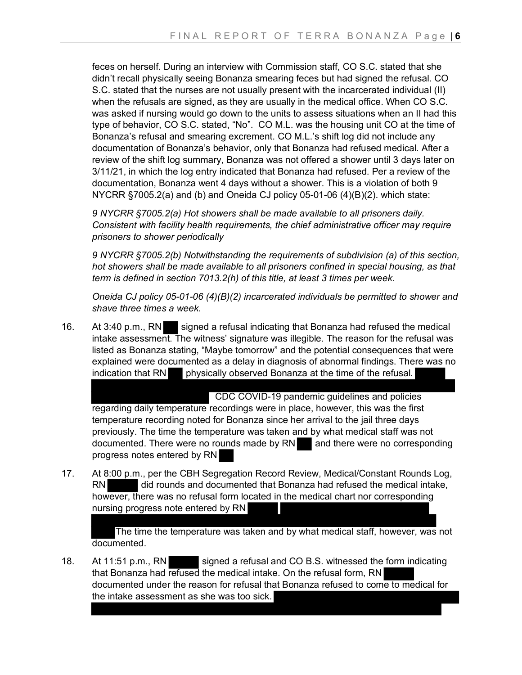feces on herself. During an interview with Commission staff, CO S.C. stated that she didn't recall physically seeing Bonanza smearing feces but had signed the refusal. CO S.C. stated that the nurses are not usually present with the incarcerated individual (II) when the refusals are signed, as they are usually in the medical office. When CO S.C. was asked if nursing would go down to the units to assess situations when an II had this type of behavior, CO S.C. stated, "No". CO M.L. was the housing unit CO at the time of Bonanza's refusal and smearing excrement. CO M.L.'s shift log did not include any documentation of Bonanza's behavior, only that Bonanza had refused medical. After a review of the shift log summary, Bonanza was not offered a shower until 3 days later on 3/11/21, in which the log entry indicated that Bonanza had refused. Per a review of the documentation, Bonanza went 4 days without a shower. This is a violation of both 9 NYCRR §7005.2(a) and (b) and Oneida CJ policy 05-01-06 (4)(B)(2). which state:

*9 NYCRR §7005.2(a) Hot showers shall be made available to all prisoners daily. Consistent with facility health requirements, the chief administrative officer may require prisoners to shower periodically* 

*9 NYCRR §7005.2(b) Notwithstanding the requirements of subdivision (a) of this section, hot showers shall be made available to all prisoners confined in special housing, as that term is defined in section 7013.2(h) of this title, at least 3 times per week*.

*Oneida CJ policy 05-01-06 (4)(B)(2) incarcerated individuals be permitted to shower and shave three times a week.* 

16. At 3:40 p.m., RN signed a refusal indicating that Bonanza had refused the medical intake assessment. The witness' signature was illegible. The reason for the refusal was listed as Bonanza stating, "Maybe tomorrow" and the potential consequences that were explained were documented as a delay in diagnosis of abnormal findings. There was no indication that RN physically observed Bonanza at the time of the refusal.

 CDC COVID-19 pandemic guidelines and policies regarding daily temperature recordings were in place, however, this was the first temperature recording noted for Bonanza since her arrival to the jail three days previously. The time the temperature was taken and by what medical staff was not documented. There were no rounds made by  $RN$  and there were no corresponding progress notes entered by RN

17. At 8:00 p.m., per the CBH Segregation Record Review, Medical/Constant Rounds Log, RN did rounds and documented that Bonanza had refused the medical intake, however, there was no refusal form located in the medical chart nor corresponding nursing progress note entered by RN

The time the temperature was taken and by what medical staff, however, was not documented.

18. At 11:51 p.m., RN signed a refusal and CO B.S. witnessed the form indicating that Bonanza had refused the medical intake. On the refusal form, RN documented under the reason for refusal that Bonanza refused to come to medical for the intake assessment as she was too sick.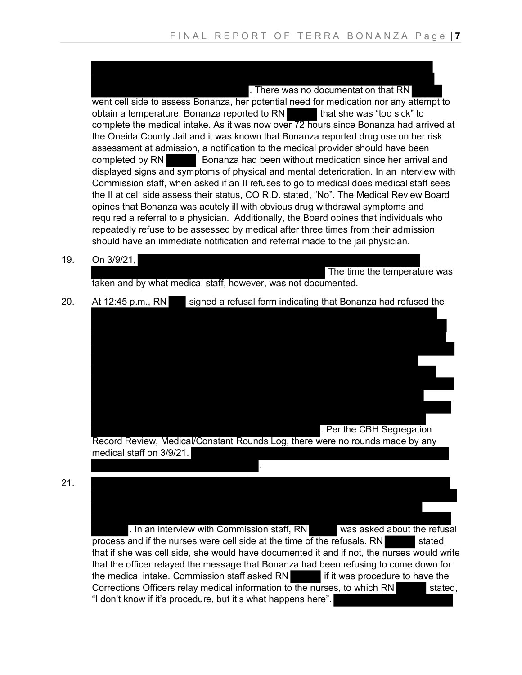. There was no documentation that RN went cell side to assess Bonanza, her potential need for medication nor any attempt to obtain a temperature. Bonanza reported to RN that she was "too sick" to complete the medical intake. As it was now over 72 hours since Bonanza had arrived at the Oneida County Jail and it was known that Bonanza reported drug use on her risk assessment at admission, a notification to the medical provider should have been completed by RN Bonanza had been without medication since her arrival and displayed signs and symptoms of physical and mental deterioration. In an interview with Commission staff, when asked if an II refuses to go to medical does medical staff sees the II at cell side assess their status, CO R.D. stated, "No". The Medical Review Board opines that Bonanza was acutely ill with obvious drug withdrawal symptoms and required a referral to a physician. Additionally, the Board opines that individuals who repeatedly refuse to be assessed by medical after three times from their admission should have an immediate notification and referral made to the jail physician.

19. On 3/9/21,

The time the temperature was taken and by what medical staff, however, was not documented.

20. At 12:45 p.m., RN signed a refusal form indicating that Bonanza had refused the



21.

. In an interview with Commission staff, RN was asked about the refusal process and if the nurses were cell side at the time of the refusals. RN stated that if she was cell side, she would have documented it and if not, the nurses would write that the officer relayed the message that Bonanza had been refusing to come down for the medical intake. Commission staff asked  $RN$  if it was procedure to have the Corrections Officers relay medical information to the nurses, to which RN stated, "I don't know if it's procedure, but it's what happens here".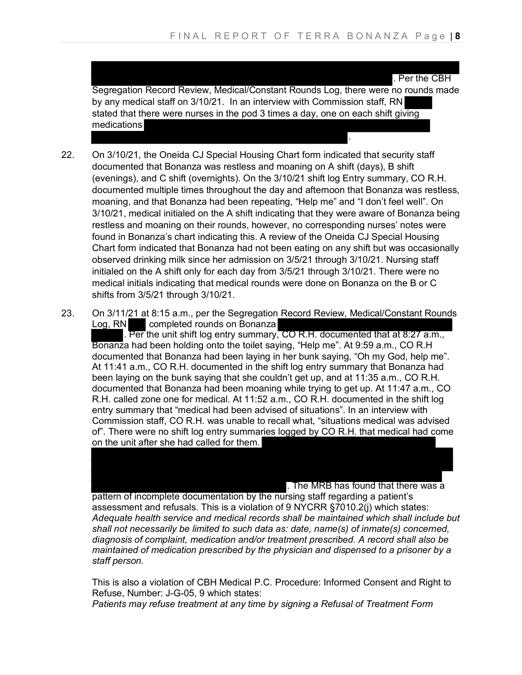.

. Per the CBH Segregation Record Review, Medical/Constant Rounds Log, there were no rounds made by any medical staff on 3/10/21. In an interview with Commission staff, RN stated that there were nurses in the pod 3 times a day, one on each shift giving medications

- 22. On 3/10/21, the Oneida CJ Special Housing Chart form indicated that security staff documented that Bonanza was restless and moaning on A shift (days), B shift (evenings), and C shift (overnights). On the 3/10/21 shift log Entry summary, CO R.H. documented multiple times throughout the day and afternoon that Bonanza was restless, moaning, and that Bonanza had been repeating, "Help me" and "I don't feel well". On 3/10/21, medical initialed on the A shift indicating that they were aware of Bonanza being restless and moaning on their rounds, however, no corresponding nurses' notes were found in Bonanza's chart indicating this. A review of the Oneida CJ Special Housing Chart form indicated that Bonanza had not been eating on any shift but was occasionally observed drinking milk since her admission on 3/5/21 through 3/10/21. Nursing staff initialed on the A shift only for each day from 3/5/21 through 3/10/21. There were no medical initials indicating that medical rounds were done on Bonanza on the B or C shifts from 3/5/21 through 3/10/21.
- 23. On 3/11/21 at 8:15 a.m., per the Segregation Record Review, Medical/Constant Rounds<br>Log, RN completed rounds on Bonanza completed rounds on Bonanza

. Per the unit shift log entry summary, CO R.H. documented that at 8:27 a.m., Bonanza had been holding onto the toilet saying, "Help me". At 9:59 a.m., CO R.H documented that Bonanza had been laying in her bunk saying, "Oh my God, help me". At 11:41 a.m., CO R.H. documented in the shift log entry summary that Bonanza had been laying on the bunk saying that she couldn't get up, and at 11:35 a.m., CO R.H. documented that Bonanza had been moaning while trying to get up. At 11:47 a.m., CO R.H. called zone one for medical. At 11:52 a.m., CO R.H. documented in the shift log entry summary that "medical had been advised of situations". In an interview with Commission staff, CO R.H. was unable to recall what, "situations medical was advised of". There were no shift log entry summaries logged by CO R.H. that medical had come on the unit after she had called for them.

. The MRB has found that there was a

pattern of incomplete documentation by the nursing staff regarding a patient's assessment and refusals. This is a violation of 9 NYCRR §7010.2(j) which states: *Adequate health service and medical records shall be maintained which shall include but shall not necessarily be limited to such data as: date, name(s) of inmate(s) concerned, diagnosis of complaint, medication and/or treatment prescribed. A record shall also be maintained of medication prescribed by the physician and dispensed to a prisoner by a staff person.*

This is also a violation of CBH Medical P.C. Procedure: Informed Consent and Right to Refuse, Number: J-G-05, 9 which states:

*Patients may refuse treatment at any time by signing a Refusal of Treatment Form*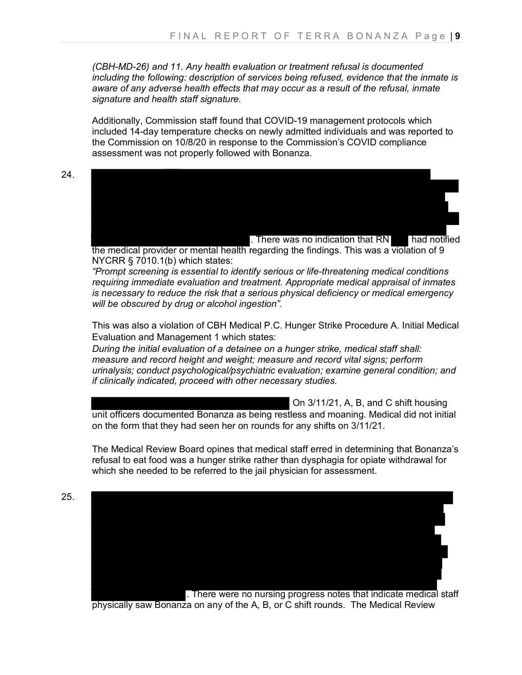*(CBH-MD-26) and 11. Any health evaluation or treatment refusal is documented including the following: description of services being refused, evidence that the inmate is aware of any adverse health effects that may occur as a result of the refusal, inmate signature and health staff signature.* 

Additionally, Commission staff found that COVID-19 management protocols which included 14-day temperature checks on newly admitted individuals and was reported to the Commission on 10/8/20 in response to the Commission's COVID compliance assessment was not properly followed with Bonanza.

24.

25.



the medical provider or mental health regarding the findings. This was a violation of 9 NYCRR § 7010.1(b) which states:

*"Prompt screening is essential to identify serious or life-threatening medical conditions requiring immediate evaluation and treatment. Appropriate medical appraisal of inmates is necessary to reduce the risk that a serious physical deficiency or medical emergency will be obscured by drug or alcohol ingestion".*

This was also a violation of CBH Medical P.C. Hunger Strike Procedure A. Initial Medical Evaluation and Management 1 which states:

*During the initial evaluation of a detainee on a hunger strike, medical staff shall: measure and record height and weight; measure and record vital signs; perform urinalysis; conduct psychological/psychiatric evaluation; examine general condition; and if clinically indicated, proceed with other necessary studies.*

 On 3/11/21, A, B, and C shift housing unit officers documented Bonanza as being restless and moaning. Medical did not initial on the form that they had seen her on rounds for any shifts on 3/11/21.

The Medical Review Board opines that medical staff erred in determining that Bonanza's refusal to eat food was a hunger strike rather than dysphagia for opiate withdrawal for which she needed to be referred to the jail physician for assessment.



physically saw Bonanza on any of the A, B, or C shift rounds. The Medical Review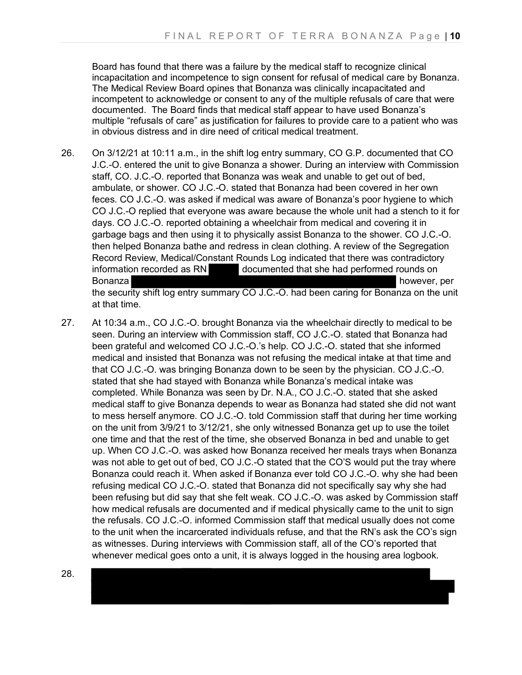Board has found that there was a failure by the medical staff to recognize clinical incapacitation and incompetence to sign consent for refusal of medical care by Bonanza. The Medical Review Board opines that Bonanza was clinically incapacitated and incompetent to acknowledge or consent to any of the multiple refusals of care that were documented. The Board finds that medical staff appear to have used Bonanza's multiple "refusals of care" as justification for failures to provide care to a patient who was in obvious distress and in dire need of critical medical treatment.

- 26. On 3/12/21 at 10:11 a.m., in the shift log entry summary, CO G.P. documented that CO J.C.-O. entered the unit to give Bonanza a shower. During an interview with Commission staff, CO. J.C.-O. reported that Bonanza was weak and unable to get out of bed, ambulate, or shower. CO J.C.-O. stated that Bonanza had been covered in her own feces. CO J.C.-O. was asked if medical was aware of Bonanza's poor hygiene to which CO J.C.-O replied that everyone was aware because the whole unit had a stench to it for days. CO J.C.-O. reported obtaining a wheelchair from medical and covering it in garbage bags and then using it to physically assist Bonanza to the shower. CO J.C.-O. then helped Bonanza bathe and redress in clean clothing. A review of the Segregation Record Review, Medical/Constant Rounds Log indicated that there was contradictory information recorded as RN documented that she had performed rounds on Bonanza **however, per** and the set of the set of the set of the set of the set of the set of the set of the set of the set of the set of the set of the set of the set of the set of the set of the set of the set of the set the security shift log entry summary CO J.C.-O. had been caring for Bonanza on the unit at that time.
- 27. At 10:34 a.m., CO J.C.-O. brought Bonanza via the wheelchair directly to medical to be seen. During an interview with Commission staff, CO J.C.-O. stated that Bonanza had been grateful and welcomed CO J.C.-O.'s help. CO J.C.-O. stated that she informed medical and insisted that Bonanza was not refusing the medical intake at that time and that CO J.C.-O. was bringing Bonanza down to be seen by the physician. CO J.C.-O. stated that she had stayed with Bonanza while Bonanza's medical intake was completed. While Bonanza was seen by Dr. N.A., CO J.C.-O. stated that she asked medical staff to give Bonanza depends to wear as Bonanza had stated she did not want to mess herself anymore. CO J.C.-O. told Commission staff that during her time working on the unit from 3/9/21 to 3/12/21, she only witnessed Bonanza get up to use the toilet one time and that the rest of the time, she observed Bonanza in bed and unable to get up. When CO J.C.-O. was asked how Bonanza received her meals trays when Bonanza was not able to get out of bed, CO J.C.-O stated that the CO'S would put the tray where Bonanza could reach it. When asked if Bonanza ever told CO J.C.-O. why she had been refusing medical CO J.C.-O. stated that Bonanza did not specifically say why she had been refusing but did say that she felt weak. CO J.C.-O. was asked by Commission staff how medical refusals are documented and if medical physically came to the unit to sign the refusals. CO J.C.-O. informed Commission staff that medical usually does not come to the unit when the incarcerated individuals refuse, and that the RN's ask the CO's sign as witnesses. During interviews with Commission staff, all of the CO's reported that whenever medical goes onto a unit, it is always logged in the housing area logbook.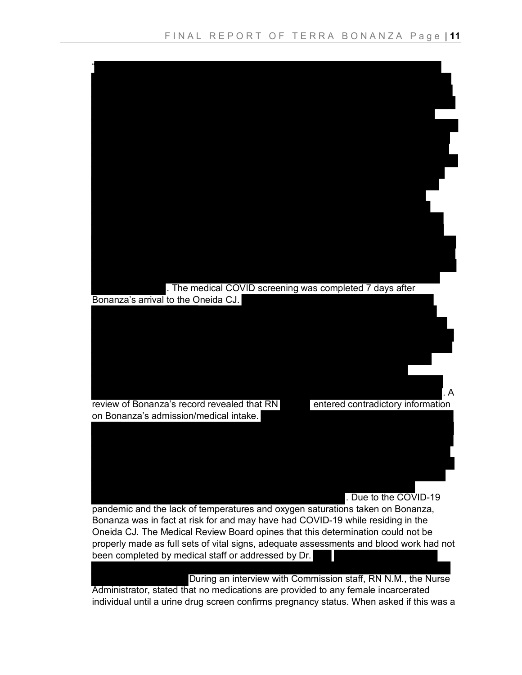

individual until a urine drug screen confirms pregnancy status. When asked if this was a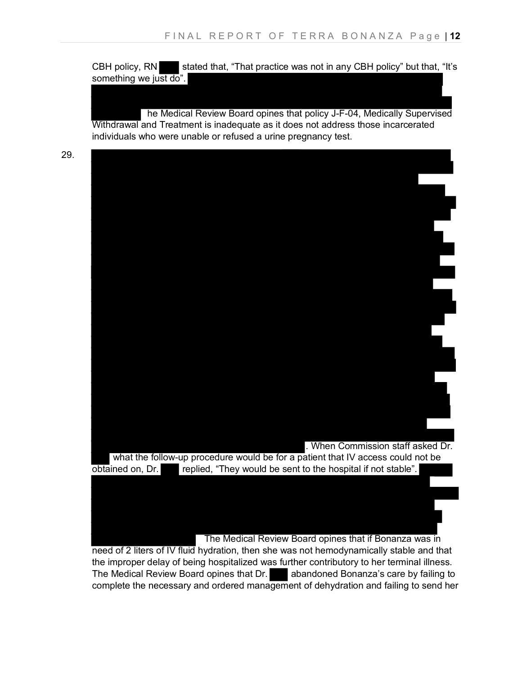CBH policy, RN stated that, "That practice was not in any CBH policy" but that, "It's something we just do".

he Medical Review Board opines that policy J-F-04, Medically Supervised Withdrawal and Treatment is inadequate as it does not address those incarcerated individuals who were unable or refused a urine pregnancy test.



the improper delay of being hospitalized was further contributory to her terminal illness. The Medical Review Board opines that Dr. abandoned Bonanza's care by failing to complete the necessary and ordered management of dehydration and failing to send her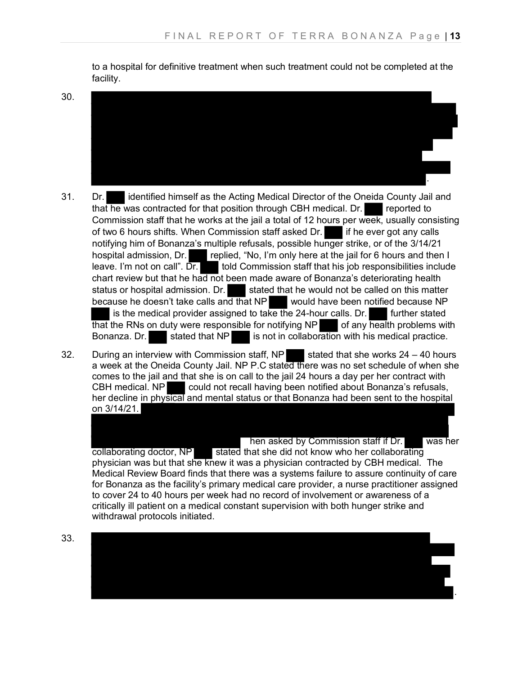to a hospital for definitive treatment when such treatment could not be completed at the facility.

30.



- 31. Dr. identified himself as the Acting Medical Director of the Oneida County Jail and that he was contracted for that position through CBH medical. Dr. reported to Commission staff that he works at the jail a total of 12 hours per week, usually consisting of two 6 hours shifts. When Commission staff asked Dr. if he ever got any calls notifying him of Bonanza's multiple refusals, possible hunger strike, or of the 3/14/21 hospital admission, Dr. replied, "No, I'm only here at the jail for 6 hours and then I leave. I'm not on call".  $\overline{Dr}$  told Commission staff that his job responsibilities include chart review but that he had not been made aware of Bonanza's deteriorating health<br>status or hospital admission. Dr. stated that he would not be called on this matte stated that he would not be called on this matter because he doesn't take calls and that NP would have been notified because NP is the medical provider assigned to take the 24-hour calls. Dr. **Fig. 1** further stated  $\frac{1}{2}$  that the RNs on duty were responsible for notifying NP of any health problems with Bonanza. Dr. stated that NP is not in collaboration with his medical practice.
- 32. During an interview with Commission staff, NP stated that she works  $24 40$  hours a week at the Oneida County Jail. NP P.C stated there was no set schedule of when she comes to the jail and that she is on call to the jail 24 hours a day per her contract with CBH medical. NP could not recall having been notified about Bonanza's refusals, her decline in physical and mental status or that Bonanza had been sent to the hospital on 3/14/21.

hen asked by Commission staff if Dr. was her collaborating doctor, NP stated that she did not know who her collaborating physician was but that she knew it was a physician contracted by CBH medical. The Medical Review Board finds that there was a systems failure to assure continuity of care for Bonanza as the facility's primary medical care provider, a nurse practitioner assigned to cover 24 to 40 hours per week had no record of involvement or awareness of a critically ill patient on a medical constant supervision with both hunger strike and withdrawal protocols initiated.

.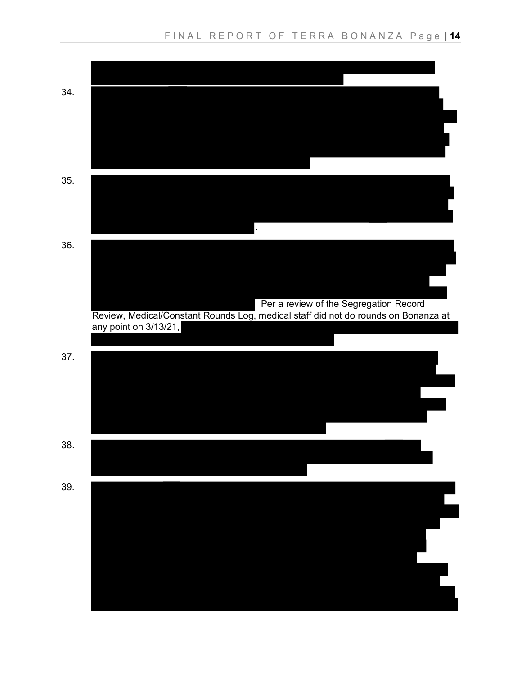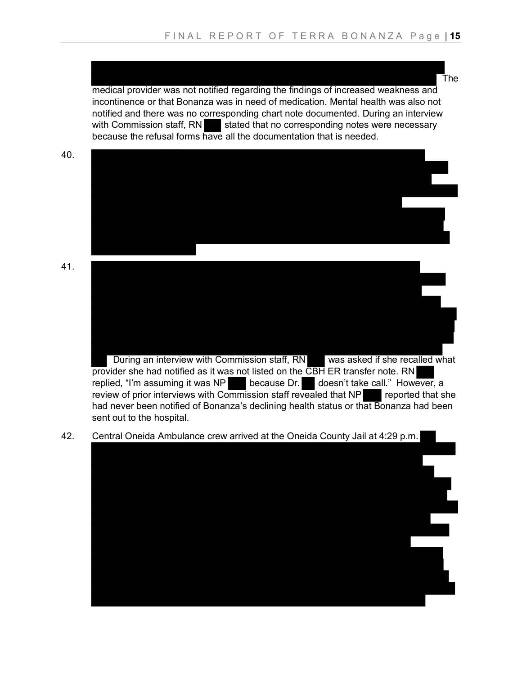medical provider was not notified regarding the findings of increased weakness and incontinence or that Bonanza was in need of medication. Mental health was also not notified and there was no corresponding chart note documented. During an interview with Commission staff,  $RN$  stated that no corresponding notes were necessary because the refusal forms have all the documentation that is needed.



replied, "I'm assuming it was NP because Dr. doesn't take call." However, a review of prior interviews with Commission staff revealed that NP reported that she had never been notified of Bonanza's declining health status or that Bonanza had been sent out to the hospital.

42. Central Oneida Ambulance crew arrived at the Oneida County Jail at 4:29 p.m.



The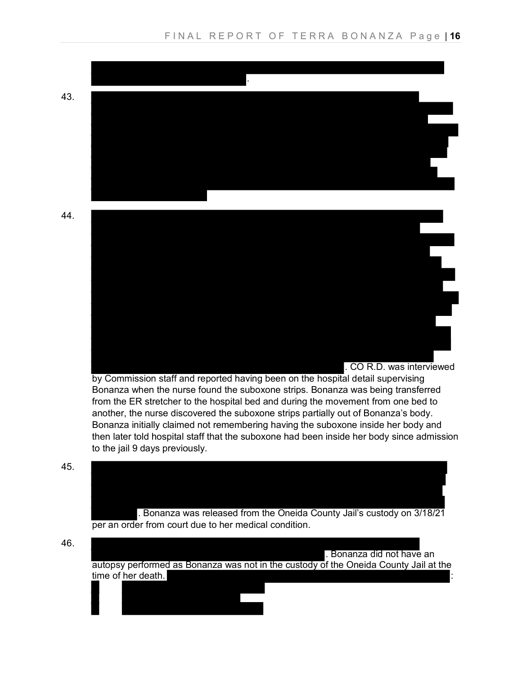

Bonanza when the nurse found the suboxone strips. Bonanza was being transferred from the ER stretcher to the hospital bed and during the movement from one bed to another, the nurse discovered the suboxone strips partially out of Bonanza's body. Bonanza initially claimed not remembering having the suboxone inside her body and then later told hospital staff that the suboxone had been inside her body since admission to the jail 9 days previously.





46.

. Bonanza did not have an

autopsy performed as Bonanza was not in the custody of the Oneida County Jail at the time of her death.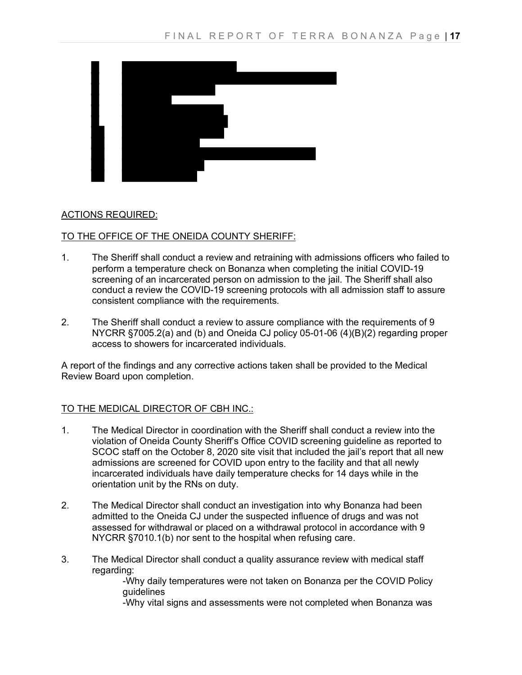

#### ACTIONS REQUIRED:

#### TO THE OFFICE OF THE ONEIDA COUNTY SHERIFF:

- 1. The Sheriff shall conduct a review and retraining with admissions officers who failed to perform a temperature check on Bonanza when completing the initial COVID-19 screening of an incarcerated person on admission to the jail. The Sheriff shall also conduct a review the COVID-19 screening protocols with all admission staff to assure consistent compliance with the requirements.
- 2. The Sheriff shall conduct a review to assure compliance with the requirements of 9 NYCRR §7005.2(a) and (b) and Oneida CJ policy 05-01-06 (4)(B)(2) regarding proper access to showers for incarcerated individuals.

A report of the findings and any corrective actions taken shall be provided to the Medical Review Board upon completion.

#### TO THE MEDICAL DIRECTOR OF CBH INC.:

- 1. The Medical Director in coordination with the Sheriff shall conduct a review into the violation of Oneida County Sheriff's Office COVID screening guideline as reported to SCOC staff on the October 8, 2020 site visit that included the jail's report that all new admissions are screened for COVID upon entry to the facility and that all newly incarcerated individuals have daily temperature checks for 14 days while in the orientation unit by the RNs on duty.
- 2. The Medical Director shall conduct an investigation into why Bonanza had been admitted to the Oneida CJ under the suspected influence of drugs and was not assessed for withdrawal or placed on a withdrawal protocol in accordance with 9 NYCRR §7010.1(b) nor sent to the hospital when refusing care.
- 3. The Medical Director shall conduct a quality assurance review with medical staff regarding:

-Why daily temperatures were not taken on Bonanza per the COVID Policy guidelines

-Why vital signs and assessments were not completed when Bonanza was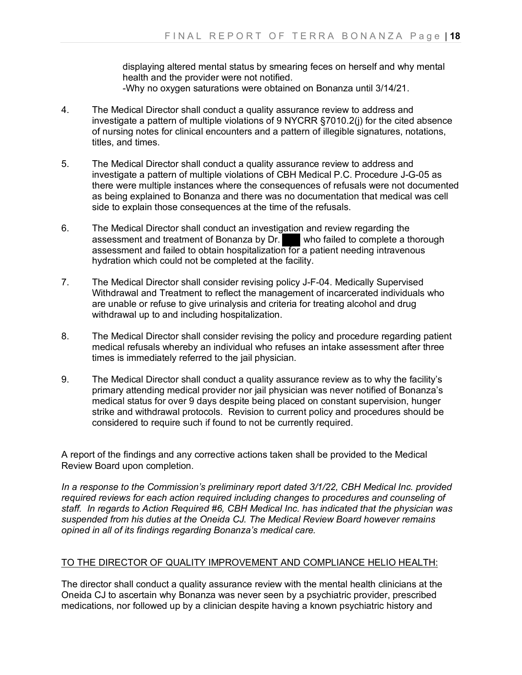displaying altered mental status by smearing feces on herself and why mental health and the provider were not notified. -Why no oxygen saturations were obtained on Bonanza until 3/14/21.

- 4. The Medical Director shall conduct a quality assurance review to address and investigate a pattern of multiple violations of 9 NYCRR §7010.2(j) for the cited absence of nursing notes for clinical encounters and a pattern of illegible signatures, notations, titles, and times.
- 5. The Medical Director shall conduct a quality assurance review to address and investigate a pattern of multiple violations of CBH Medical P.C. Procedure J-G-05 as there were multiple instances where the consequences of refusals were not documented as being explained to Bonanza and there was no documentation that medical was cell side to explain those consequences at the time of the refusals.
- 6. The Medical Director shall conduct an investigation and review regarding the assessment and treatment of Bonanza by Dr. who failed to complete a thorough assessment and treatment of Bonanza by Dr. assessment and failed to obtain hospitalization for a patient needing intravenous hydration which could not be completed at the facility.
- 7. The Medical Director shall consider revising policy J-F-04. Medically Supervised Withdrawal and Treatment to reflect the management of incarcerated individuals who are unable or refuse to give urinalysis and criteria for treating alcohol and drug withdrawal up to and including hospitalization.
- 8. The Medical Director shall consider revising the policy and procedure regarding patient medical refusals whereby an individual who refuses an intake assessment after three times is immediately referred to the jail physician.
- 9. The Medical Director shall conduct a quality assurance review as to why the facility's primary attending medical provider nor jail physician was never notified of Bonanza's medical status for over 9 days despite being placed on constant supervision, hunger strike and withdrawal protocols. Revision to current policy and procedures should be considered to require such if found to not be currently required.

A report of the findings and any corrective actions taken shall be provided to the Medical Review Board upon completion.

*In a response to the Commission's preliminary report dated 3/1/22, CBH Medical Inc. provided required reviews for each action required including changes to procedures and counseling of staff. In regards to Action Required #6, CBH Medical Inc. has indicated that the physician was suspended from his duties at the Oneida CJ. The Medical Review Board however remains opined in all of its findings regarding Bonanza's medical care.*

# TO THE DIRECTOR OF QUALITY IMPROVEMENT AND COMPLIANCE HELIO HEALTH:

The director shall conduct a quality assurance review with the mental health clinicians at the Oneida CJ to ascertain why Bonanza was never seen by a psychiatric provider, prescribed medications, nor followed up by a clinician despite having a known psychiatric history and